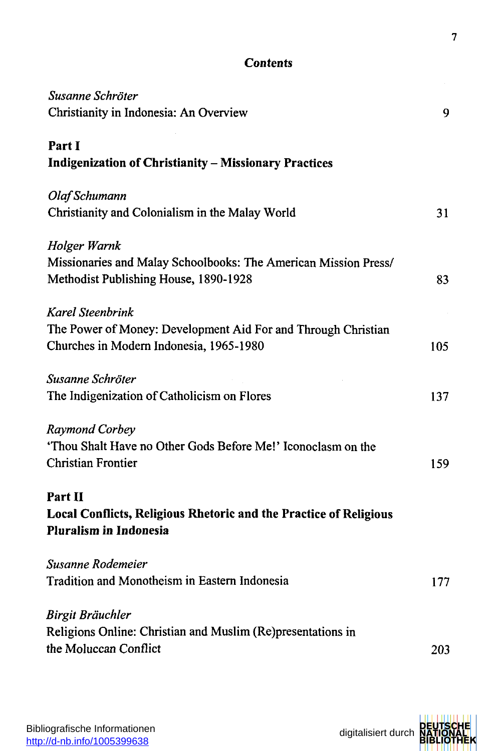## **Content s**

| Susanne Schröter                                                                                         |     |
|----------------------------------------------------------------------------------------------------------|-----|
| Christianity in Indonesia: An Overview                                                                   | 9   |
| Part I                                                                                                   |     |
| <b>Indigenization of Christianity - Missionary Practices</b>                                             |     |
| Olaf Schumann                                                                                            |     |
| Christianity and Colonialism in the Malay World                                                          | 31  |
| Holger Warnk                                                                                             |     |
| Missionaries and Malay Schoolbooks: The American Mission Press/<br>Methodist Publishing House, 1890-1928 | 83  |
| Karel Steenbrink                                                                                         |     |
| The Power of Money: Development Aid For and Through Christian                                            |     |
| Churches in Modern Indonesia, 1965-1980                                                                  | 105 |
| Susanne Schröter                                                                                         |     |
| The Indigenization of Catholicism on Flores                                                              | 137 |
| Raymond Corbey                                                                                           |     |
| 'Thou Shalt Have no Other Gods Before Me!' Iconoclasm on the                                             |     |
| <b>Christian Frontier</b>                                                                                | 159 |
| Part II                                                                                                  |     |
| Local Conflicts, Religious Rhetoric and the Practice of Religious                                        |     |
| <b>Pluralism in Indonesia</b>                                                                            |     |
| Susanne Rodemeier                                                                                        |     |
| Tradition and Monotheism in Eastern Indonesia                                                            | 177 |
| Birgit Bräuchler                                                                                         |     |
| Religions Online: Christian and Muslim (Re)presentations in                                              |     |
| the Moluccan Conflict                                                                                    | 203 |